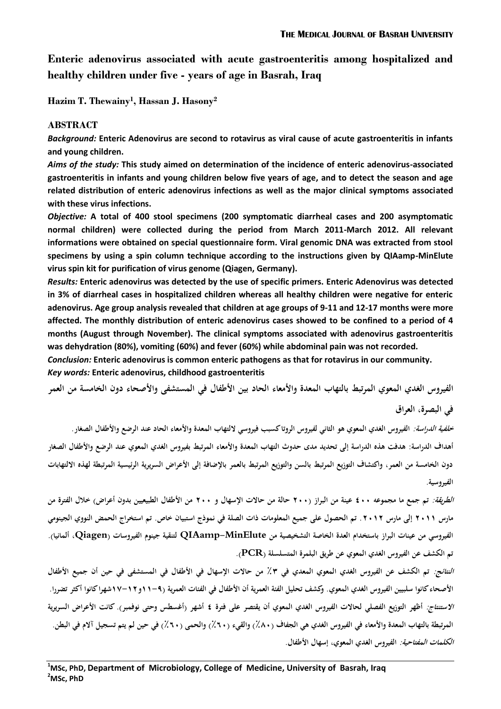**Enteric adenovirus associated with acute gastroenteritis among hospitalized and healthy children under five - years of age in Basrah, Iraq**

**Hazim T. Thewainy<sup>1</sup> , Hassan J. Hasony<sup>2</sup>** 

## **ABSTRACT**

*Background:* **Enteric Adenovirus are second to rotavirus as viral cause of acute gastroenteritis in infants and young children.** 

*Aims of the study:* **This study aimed on determination of the incidence of enteric adenovirus-associated gastroenteritis in infants and young children below five years of age, and to detect the season and age related distribution of enteric adenovirus infections as well as the major clinical symptoms associated with these virus infections.**

*Objective:* **A total of 400 stool specimens (200 symptomatic diarrheal cases and 200 asymptomatic normal children) were collected during the period from March 2011-March 2012. All relevant informations were obtained on special questionnaire form. Viral genomic DNA was extracted from stool specimens by using a spin column technique according to the instructions given by QIAamp-MinElute virus spin kit for purification of virus genome (Qiagen, Germany).** 

*Results:* **Enteric adenovirus was detected by the use of specific primers. Enteric Adenovirus was detected in 3% of diarrheal cases in hospitalized children whereas all healthy children were negative for enteric adenovirus. Age group analysis revealed that children at age groups of 9-11 and 12-17 months were more affected. The monthly distribution of enteric adenovirus cases showed to be confined to a period of 4 months (August through November). The clinical symptoms associated with adenovirus gastroenteritis was dehydration (80%), vomiting (60%) and fever (60%) while abdominal pain was not recorded.**

*Conclusion:* **Enteric adenovirus is common enteric pathogens as that for rotavirus in our community.** *Key words:* **Enteric adenovirus, childhood gastroenteritis**

الفيروس الغدي المعوي المرتبط بالتهاب المعدة والأمعاء الحاد بين الأطفال في المستشفى والأصحاء دون الخامسة من العمر **في البصرة، العراق**

**خلفية الدراسة: الفيروس الغدي المعوي ىو الثاني لفيروس الروتا كسبب فيروسي اللتهاب المعدة واألمعاء الحاد عند الرضع واألطفال الصغار. أىداف الدراسة: ىدفت ىذه الدراسة إلى تحديد مدى حدوث التهاب المعدة واألمعاء المرتبط بفيروس الغدي المعوي عند الرضع واألطفال الصغار**  دون الخامسة من العمر، واكتشاف التوزيع المرتبط بالسن والتوزيع المرتبط بالعمر بالإضافة إلى الأعراض السريرية الرئيسية المرتبطة لهذه الالتهابات **الفيروسية.**

**الطريقة: تم جمع ما مجموعو 044 عينة من البراز )044 حالة من حاالت اإلسهال و 044 من األطفال الطبيعيين بدون أعراض( خالل الفترة من مارس 0422 إلى مارس .0420 تم الحصول على جميع المعلومات ذات الصلة في نموذج استبيان خاص. تم استخراج الحمض النووي الجينومي الفيروسي من عينات البراز باستخدام العدة الخاصة التشخيصية من MinElute-QIAamp لتنقية جينوم الفيروسات )Qiagen، ألمانيا(. تم الكشف عن الفيروس الغدي المعوي عن طريق البلمرة المتسلسلة (PCR(.**

**النتائج: تم الكشف عن الفيروس الغدي المعوي المعدي في 43 من حاالت اإلسهال في األطفال في المستشفى في حين أن جميع األطفال األصحاء كانوا سلبيين الفيروس الغدي المعوي. وكشف تحليل الفئة العمرية أن األطفال في الفئات العمرية )22-3و21-20شهرا كانوا أكثر تضررا. االستنتاج: أظهر التوزيع الفصلي لحاالت الفيروس الغدي المعوي أن يقتصر على فترة 0 أشهر )أغسطس وحتى نوفمبر(. كانت األعراض السريرية**  المرتبطة بالتهاب المعدة والأمعاء في الفيروس الغدي هي الجفاف (٨٠٪) والقيء (٦٠٪) والحمى (٢٠٪) في حين لم يتم تسجيل آلام في البطن. **الكلمات المفتاحية: الفيروس الغدي المعوي، إسهال األطفال.**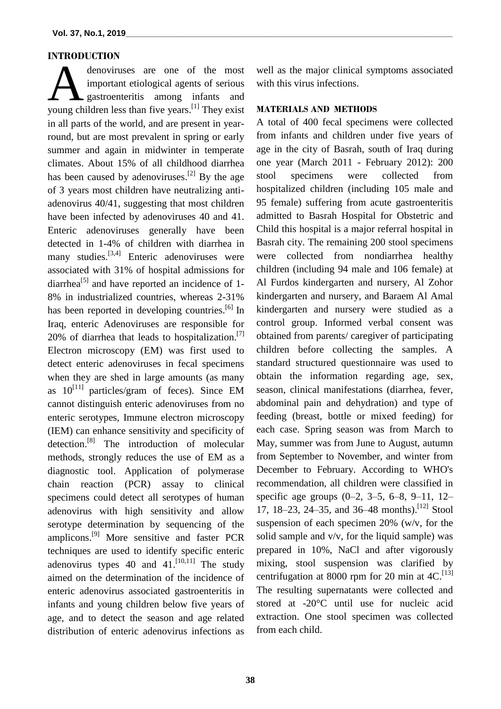#### **INTRODUCTION**

denoviruses are one of the most important etiological agents of serious gastroenteritis among infants and denoviruses are one of the most<br>important etiological agents of serious<br>young children less than five years.<sup>[1]</sup> They exist in all parts of the world, and are present in yearround, but are most prevalent in spring or early summer and again in midwinter in temperate climates. About 15% of all childhood diarrhea has been caused by adenoviruses.<sup>[2]</sup> By the age of 3 years most children have neutralizing antiadenovirus 40/41, suggesting that most children have been infected by adenoviruses 40 and 41. Enteric adenoviruses generally have been detected in 1-4% of children with diarrhea in many studies.<sup>[3,4]</sup> Enteric adenoviruses were associated with 31% of hospital admissions for diarrhea<sup>[5]</sup> and have reported an incidence of 1-8% in industrialized countries, whereas 2-31% has been reported in developing countries.<sup>[6]</sup> In Iraq, enteric Adenoviruses are responsible for 20% of diarrhea that leads to hospitalization.<sup>[7]</sup> Electron microscopy (EM) was first used to detect enteric adenoviruses in fecal specimens when they are shed in large amounts (as many as  $10^{[11]}$  particles/gram of feces). Since EM cannot distinguish enteric adenoviruses from no enteric serotypes, Immune electron microscopy (IEM) can enhance sensitivity and specificity of detection.<sup>[8]</sup> The introduction of molecular methods, strongly reduces the use of EM as a diagnostic tool. Application of polymerase chain reaction (PCR) assay to clinical specimens could detect all serotypes of human adenovirus with high sensitivity and allow serotype determination by sequencing of the amplicons.<sup>[9]</sup> More sensitive and faster PCR techniques are used to identify specific enteric adenovirus types 40 and  $41$ .<sup>[10,11]</sup> The study aimed on the determination of the incidence of enteric adenovirus associated gastroenteritis in infants and young children below five years of age, and to detect the season and age related distribution of enteric adenovirus infections as

well as the major clinical symptoms associated with this virus infections.

## **MATERIALS AND METHODS**

A total of 400 fecal specimens were collected from infants and children under five years of age in the city of Basrah, south of Iraq during one year (March 2011 - February 2012): 200 stool specimens were collected from hospitalized children (including 105 male and 95 female) suffering from acute gastroenteritis admitted to Basrah Hospital for Obstetric and Child this hospital is a major referral hospital in Basrah city. The remaining 200 stool specimens were collected from nondiarrhea healthy children (including 94 male and 106 female) at Al Furdos kindergarten and nursery, Al Zohor kindergarten and nursery, and Baraem Al Amal kindergarten and nursery were studied as a control group. Informed verbal consent was obtained from parents/ caregiver of participating children before collecting the samples. A standard structured questionnaire was used to obtain the information regarding age, sex, season, clinical manifestations (diarrhea, fever, abdominal pain and dehydration) and type of feeding (breast, bottle or mixed feeding) for each case. Spring season was from March to May, summer was from June to August, autumn from September to November, and winter from December to February. According to WHO's recommendation, all children were classified in specific age groups (0–2, 3–5, 6–8, 9–11, 12– 17, 18–23, 24–35, and 36–48 months). [12] Stool suspension of each specimen 20% (w/v, for the solid sample and v/v, for the liquid sample) was prepared in 10%, NaCl and after vigorously mixing, stool suspension was clarified by centrifugation at 8000 rpm for 20 min at  $4C$ .<sup>[13]</sup> The resulting supernatants were collected and stored at -20°C until use for nucleic acid extraction. One stool specimen was collected from each child.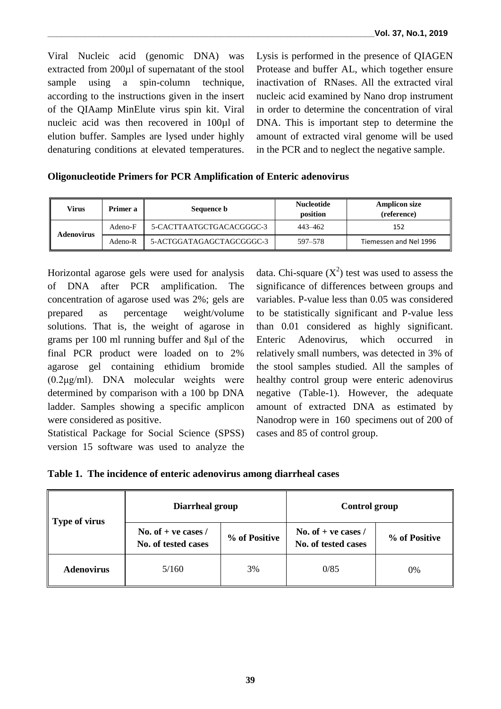Viral Nucleic acid (genomic DNA) was extracted from 200µl of supernatant of the stool sample using a spin-column technique, according to the instructions given in the insert of the QIAamp MinElute virus spin kit. Viral nucleic acid was then recovered in 100µl of elution buffer. Samples are lysed under highly denaturing conditions at elevated temperatures.

Lysis is performed in the presence of QIAGEN Protease and buffer AL, which together ensure inactivation of RNases. All the extracted viral nucleic acid examined by Nano drop instrument in order to determine the concentration of viral DNA. This is important step to determine the amount of extracted viral genome will be used in the PCR and to neglect the negative sample.

## **Oligonucleotide Primers for PCR Amplification of Enteric adenovirus**

| Virus             | Primer a | Sequence <b>b</b>        | <b>Nucleotide</b><br>position | <b>Amplicon size</b><br>(reference) |
|-------------------|----------|--------------------------|-------------------------------|-------------------------------------|
| <b>Adenovirus</b> | Adeno-F  | 5-CACTTAATGCTGACACGGGC-3 | 443–462                       | 152                                 |
|                   | Adeno-R  | 5-ACTGGATAGAGCTAGCGGGC-3 | 597–578                       | Tiemessen and Nel 1996              |

Horizontal agarose gels were used for analysis of DNA after PCR amplification. The concentration of agarose used was 2%; gels are prepared as percentage weight/volume solutions. That is, the weight of agarose in grams per 100 ml running buffer and 8μl of the final PCR product were loaded on to 2% agarose gel containing ethidium bromide (0.2μg/ml). DNA molecular weights were determined by comparison with a 100 bp DNA ladder. Samples showing a specific amplicon were considered as positive.

Statistical Package for Social Science (SPSS) version 15 software was used to analyze the

data. Chi-square  $(X^2)$  test was used to assess the significance of differences between groups and variables. P-value less than 0.05 was considered to be statistically significant and P-value less than 0.01 considered as highly significant. Enteric Adenovirus, which occurred in relatively small numbers, was detected in 3% of the stool samples studied. All the samples of healthy control group were enteric adenovirus negative (Table-1). However, the adequate amount of extracted DNA as estimated by Nanodrop were in 160 specimens out of 200 of cases and 85 of control group.

|  | Table 1. The incidence of enteric adenovirus among diarrheal cases |  |
|--|--------------------------------------------------------------------|--|
|  |                                                                    |  |

| <b>Type of virus</b> | Diarrheal group                              |               | <b>Control group</b>                         |               |  |
|----------------------|----------------------------------------------|---------------|----------------------------------------------|---------------|--|
|                      | No. of $+$ ve cases /<br>No. of tested cases | % of Positive | No. of $+$ ve cases /<br>No. of tested cases | % of Positive |  |
| <b>Adenovirus</b>    | 5/160                                        | 3%            | 0/85                                         | 0%            |  |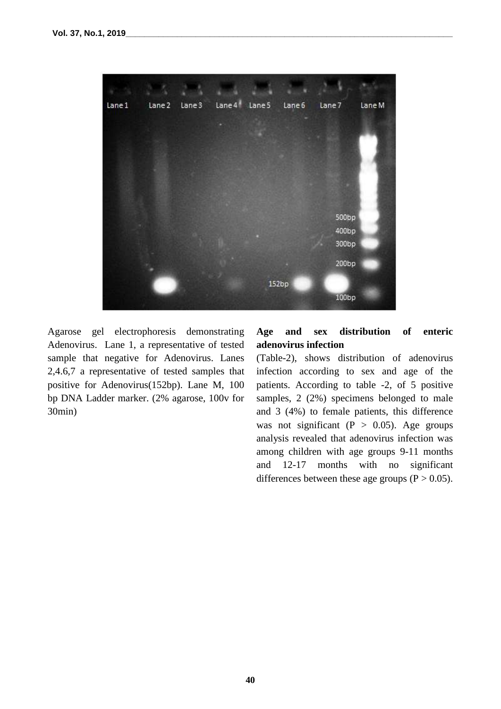

Agarose gel electrophoresis demonstrating Adenovirus. Lane 1, a representative of tested sample that negative for Adenovirus. Lanes 2,4.6,7 a representative of tested samples that positive for Adenovirus(152bp). Lane M, 100 bp DNA Ladder marker. (2% agarose, 100v for 30min)

# **Age and sex distribution of enteric adenovirus infection**

(Table-2), shows distribution of adenovirus infection according to sex and age of the patients. According to table -2, of 5 positive samples, 2 (2%) specimens belonged to male and 3 (4%) to female patients, this difference was not significant ( $P > 0.05$ ). Age groups analysis revealed that adenovirus infection was among children with age groups 9-11 months and 12-17 months with no significant differences between these age groups  $(P > 0.05)$ .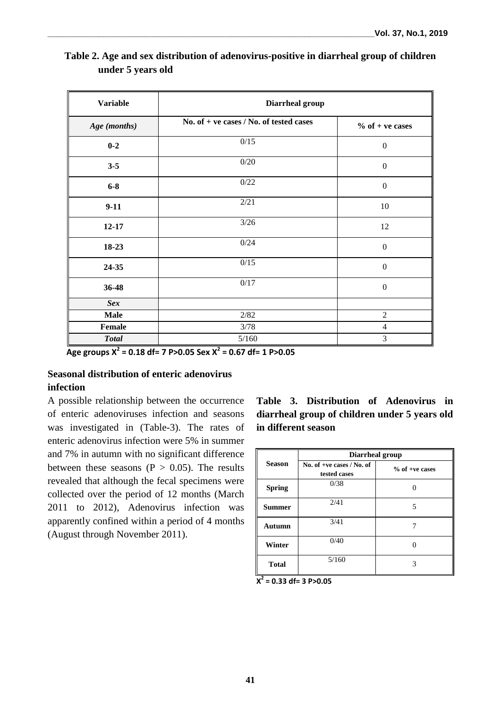| <b>Variable</b> | Diarrheal group                           |                   |  |  |  |
|-----------------|-------------------------------------------|-------------------|--|--|--|
| Age (months)    | No. of $+$ ve cases / No. of tested cases | $%$ of + ve cases |  |  |  |
| $0 - 2$         | 0/15                                      | $\boldsymbol{0}$  |  |  |  |
| $3 - 5$         | 0/20                                      | $\mathbf{0}$      |  |  |  |
| $6-8$           | 0/22                                      | $\boldsymbol{0}$  |  |  |  |
| $9-11$          | 2/21                                      | 10                |  |  |  |
| $12 - 17$       | 3/26                                      | 12                |  |  |  |
| 18-23           | 0/24                                      | $\mathbf{0}$      |  |  |  |
| 24-35           | 0/15                                      | $\boldsymbol{0}$  |  |  |  |
| 36-48           | 0/17                                      | $\boldsymbol{0}$  |  |  |  |
| <b>Sex</b>      |                                           |                   |  |  |  |
| <b>Male</b>     | 2/82                                      | $\overline{2}$    |  |  |  |
| Female          | 3/78                                      | 4                 |  |  |  |
| <b>Total</b>    | 5/160                                     | 3                 |  |  |  |

| Table 2. Age and sex distribution of adenovirus-positive in diarrheal group of children |
|-----------------------------------------------------------------------------------------|
| under 5 years old                                                                       |

 **Age groups X<sup>2</sup> = 0.18 df= 7 P>0.05 Sex X<sup>2</sup> = 0.67 df= 1 P>0.05**

## **Seasonal distribution of enteric adenovirus infection**

A possible relationship between the occurrence of enteric adenoviruses infection and seasons was investigated in (Table-3). The rates of enteric adenovirus infection were 5% in summer and 7% in autumn with no significant difference between these seasons ( $P > 0.05$ ). The results revealed that although the fecal specimens were collected over the period of 12 months (March 2011 to 2012), Adenovirus infection was apparently confined within a period of 4 months (August through November 2011).

**Table 3. Distribution of Adenovirus in diarrheal group of children under 5 years old in different season**

|               | Diarrheal group                             |                  |  |  |  |
|---------------|---------------------------------------------|------------------|--|--|--|
| <b>Season</b> | No. of +ve cases $/$ No. of<br>tested cases | $%$ of +ve cases |  |  |  |
| <b>Spring</b> | 0/38                                        |                  |  |  |  |
| <b>Summer</b> | 2/41                                        | 5                |  |  |  |
| Autumn        | 3/41                                        |                  |  |  |  |
| Winter        | 0/40                                        |                  |  |  |  |
| <b>Total</b>  | 5/160                                       | 3                |  |  |  |

**X 2 = 0.33 df= 3 P>0.05**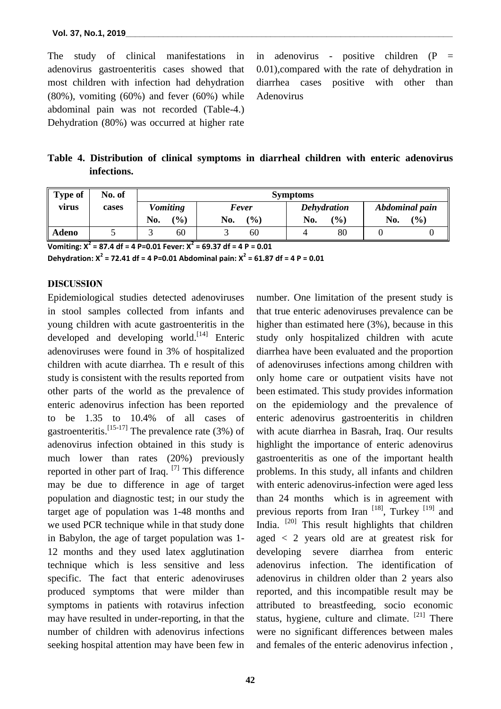The study of clinical manifestations in adenovirus gastroenteritis cases showed that most children with infection had dehydration  $(80\%)$ , vomiting  $(60\%)$  and fever  $(60\%)$  while abdominal pain was not recorded (Table-4.) Dehydration (80%) was occurred at higher rate in adenovirus - positive children (P = 0.01),compared with the rate of dehydration in diarrhea cases positive with other than Adenovirus

**Table 4. Distribution of clinical symptoms in diarrheal children with enteric adenovirus infections.**

| <b>Type of</b> | No. of<br>cases | <b>Symptoms</b> |     |       |       |     |                    |     |                |
|----------------|-----------------|-----------------|-----|-------|-------|-----|--------------------|-----|----------------|
| virus          |                 | <b>Vomiting</b> |     | Fever |       |     | <b>Dehydration</b> |     | Abdominal pain |
|                |                 | No.             | (%) | No.   | (9/0) | No. | (%)                | No. | (%)            |
| <b>Adeno</b>   |                 |                 | 60  |       | 60    |     | 80                 |     |                |

**Vomiting: X<sup>2</sup> = 87.4 df = 4 P=0.01 Fever: X<sup>2</sup> = 69.37 df = 4 P = 0.01**

**Dehydration: X<sup>2</sup> = 72.41 df = 4 P=0.01 Abdominal pain: X<sup>2</sup> = 61.87 df = 4 P = 0.01**

### **DISCUSSION**

Epidemiological studies detected adenoviruses in stool samples collected from infants and young children with acute gastroenteritis in the developed and developing world.<sup>[14]</sup> Enteric adenoviruses were found in 3% of hospitalized children with acute diarrhea. Th e result of this study is consistent with the results reported from other parts of the world as the prevalence of enteric adenovirus infection has been reported to be 1.35 to 10.4% of all cases of gastroenteritis.<sup>[15-17]</sup> The prevalence rate (3%) of adenovirus infection obtained in this study is much lower than rates (20%) previously reported in other part of Iraq. [7] This difference may be due to difference in age of target population and diagnostic test; in our study the target age of population was 1-48 months and we used PCR technique while in that study done in Babylon, the age of target population was 1- 12 months and they used latex agglutination technique which is less sensitive and less specific. The fact that enteric adenoviruses produced symptoms that were milder than symptoms in patients with rotavirus infection may have resulted in under-reporting, in that the number of children with adenovirus infections seeking hospital attention may have been few in

number. One limitation of the present study is that true enteric adenoviruses prevalence can be higher than estimated here (3%), because in this study only hospitalized children with acute diarrhea have been evaluated and the proportion of adenoviruses infections among children with only home care or outpatient visits have not been estimated. This study provides information on the epidemiology and the prevalence of enteric adenovirus gastroenteritis in children with acute diarrhea in Basrah, Iraq. Our results highlight the importance of enteric adenovirus gastroenteritis as one of the important health problems. In this study, all infants and children with enteric adenovirus-infection were aged less than 24 months which is in agreement with previous reports from Iran [18], Turkey [19] and India. <sup>[20]</sup> This result highlights that children aged < 2 years old are at greatest risk for developing severe diarrhea from enteric adenovirus infection. The identification of adenovirus in children older than 2 years also reported, and this incompatible result may be attributed to breastfeeding, socio economic status, hygiene, culture and climate. <sup>[21]</sup> There were no significant differences between males and females of the enteric adenovirus infection ,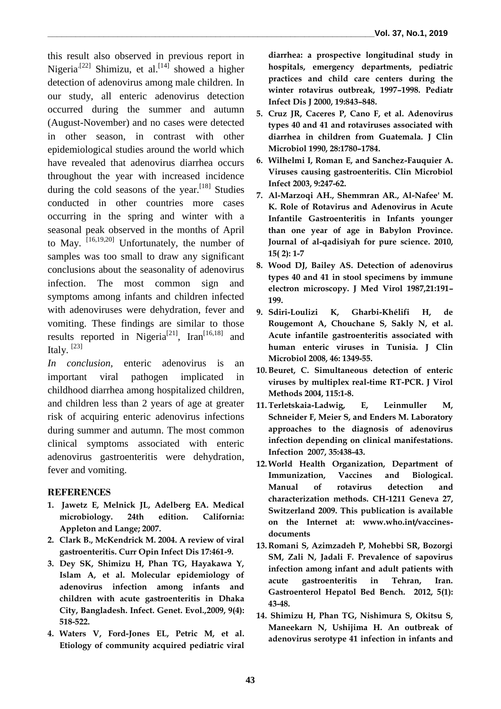this result also observed in previous report in Nigeria<sup>[22]</sup> Shimizu, et al.<sup>[14]</sup> showed a higher detection of adenovirus among male children. In our study, all enteric adenovirus detection occurred during the summer and autumn (August-November) and no cases were detected in other season, in contrast with other epidemiological studies around the world which have revealed that adenovirus diarrhea occurs throughout the year with increased incidence during the cold seasons of the year.<sup>[18]</sup> Studies conducted in other countries more cases occurring in the spring and winter with a seasonal peak observed in the months of April to May. [16,19,20] Unfortunately, the number of samples was too small to draw any significant conclusions about the seasonality of adenovirus infection. The most common sign and symptoms among infants and children infected with adenoviruses were dehydration, fever and vomiting. These findings are similar to those results reported in Nigeria<sup>[21]</sup>, Iran<sup>[16,18]</sup> and Italy.<sup>[23]</sup>

*In conclusion,* enteric adenovirus is an important viral pathogen implicated in childhood diarrhea among hospitalized children, and children less than 2 years of age at greater risk of acquiring enteric adenovirus infections during summer and autumn. The most common clinical symptoms associated with enteric adenovirus gastroenteritis were dehydration, fever and vomiting.

## **REFERENCES**

- **1. Jawetz E, Melnick JL, Adelberg EA. Medical microbiology. 24th edition. California: Appleton and Lange; 2007.**
- **2. Clark B., McKendrick M. 2004. A review of viral gastroenteritis. Curr Opin Infect Dis 17:461-9.**
- **3. Dey SK, Shimizu H, Phan TG, Hayakawa Y, Islam A, et al. Molecular epidemiology of adenovirus infection among infants and children with acute gastroenteritis in Dhaka City, Bangladesh. Infect. Genet. Evol.,2009, 9(4): 518-522.**
- **4. Waters V, Ford-Jones EL, Petric M, et al. Etiology of community acquired pediatric viral**

**diarrhea: a prospective longitudinal study in hospitals, emergency departments, pediatric practices and child care centers during the winter rotavirus outbreak, 1997–1998. Pediatr Infect Dis J 2000, 19:843–848.**

- **5. Cruz JR, Caceres P, Cano F, et al. Adenovirus types 40 and 41 and rotaviruses associated with diarrhea in children from Guatemala. J Clin Microbiol 1990, 28:1780–1784.**
- **6. Wilhelmi I, Roman E, and Sanchez-Fauquier A. Viruses causing gastroenteritis. Clin Microbiol Infect 2003, 9:247-62.**
- **7. Al-Marzoqi AH., Shemmran AR., Al-Nafee' M. K. Role of Rotavirus and Adenovirus in Acute Infantile Gastroenteritis in Infants younger than one year of age in Babylon Province. [Journal of al-qadisiyah for pure science.](http://www.iasj.net/iasj?func=issues&jId=139&uiLanguage=en) 2010, 15( 2): 1-7**
- **8. Wood DJ, Bailey AS. Detection of adenovirus types 40 and 41 in stool specimens by immune electron microscopy. J Med Virol 1987,21:191– 199.**
- **9. Sdiri-Loulizi K, Gharbi-Khélifi H, de Rougemont A, Chouchane S, Sakly N, et al. Acute infantile gastroenteritis associated with human enteric viruses in Tunisia. J Clin Microbiol 2008, 46: 1349-55.**
- **10.Beuret, C. Simultaneous detection of enteric viruses by multiplex real-time RT-PCR. J Virol Methods 2004, 115:1-8.**
- **11.Terletskaia-Ladwig, E, Leinmuller M, Schneider F, Meier S, and Enders M. Laboratory approaches to the diagnosis of adenovirus infection depending on clinical manifestations. Infection 2007, 35:438-43.**
- **12.World Health Organization, Department of Immunization, Vaccines and Biological. Manual of rotavirus detection and characterization methods. CH-1211 Geneva 27, Switzerland 2009. This publication is available on the Internet at: www.who.int/vaccinesdocuments**
- **13. Romani S, Azimzadeh P, Mohebbi SR, Bozorgi SM, Zali N, Jadali F. Prevalence of sapovirus infection among infant and adult patients with acute gastroenteritis in Tehran, Iran. Gastroenterol Hepatol Bed Bench. 2012, 5(1): 43-48.**
- **14. Shimizu H, Phan TG, Nishimura S, Okitsu S, Maneekarn N, Ushijima H. An outbreak of adenovirus serotype 41 infection in infants and**